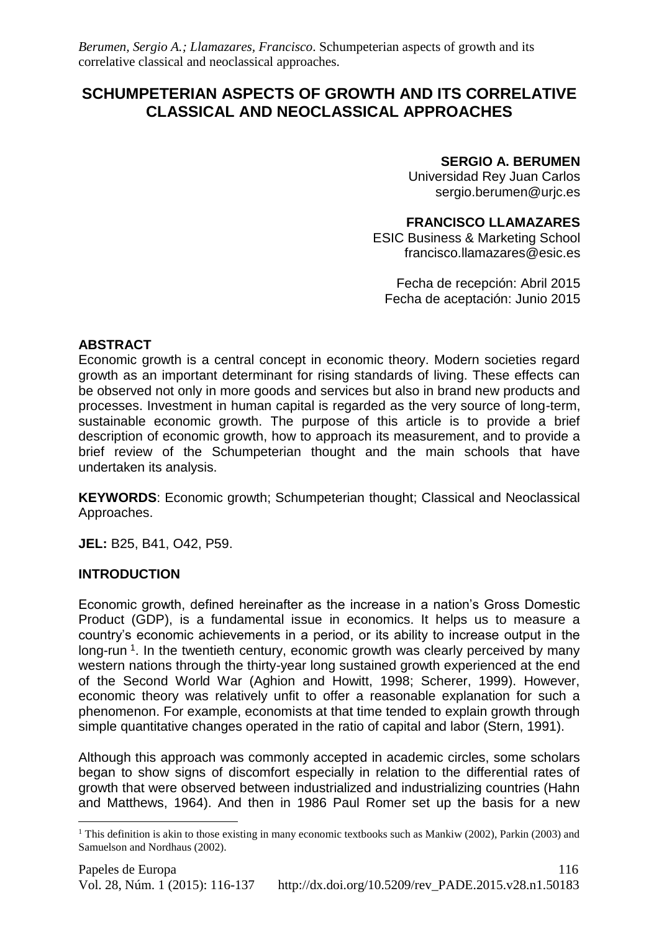# **SCHUMPETERIAN ASPECTS OF GROWTH AND ITS CORRELATIVE CLASSICAL AND NEOCLASSICAL APPROACHES**

### **SERGIO A. BERUMEN**

Universidad Rey Juan Carlos sergio.berumen@urjc.es

#### **FRANCISCO LLAMAZARES**

ESIC Business & Marketing School francisco.llamazares@esic.es

Fecha de recepción: Abril 2015 Fecha de aceptación: Junio 2015

### **ABSTRACT**

Economic growth is a central concept in economic theory. Modern societies regard growth as an important determinant for rising standards of living. These effects can be observed not only in more goods and services but also in brand new products and processes. Investment in human capital is regarded as the very source of long-term, sustainable economic growth. The purpose of this article is to provide a brief description of economic growth, how to approach its measurement, and to provide a brief review of the Schumpeterian thought and the main schools that have undertaken its analysis.

**KEYWORDS**: Economic growth; Schumpeterian thought; Classical and Neoclassical Approaches.

**JEL:** B25, B41, O42, P59.

### **INTRODUCTION**

 $\overline{a}$ 

Economic growth, defined hereinafter as the increase in a nation's Gross Domestic Product (GDP), is a fundamental issue in economics. It helps us to measure a country's economic achievements in a period, or its ability to increase output in the long-run<sup>1</sup>. In the twentieth century, economic growth was clearly perceived by many western nations through the thirty-year long sustained growth experienced at the end of the Second World War (Aghion and Howitt, 1998; Scherer, 1999). However, economic theory was relatively unfit to offer a reasonable explanation for such a phenomenon. For example, economists at that time tended to explain growth through simple quantitative changes operated in the ratio of capital and labor (Stern, 1991).

Although this approach was commonly accepted in academic circles, some scholars began to show signs of discomfort especially in relation to the differential rates of growth that were observed between industrialized and industrializing countries (Hahn and Matthews, 1964). And then in 1986 Paul Romer set up the basis for a new

<sup>&</sup>lt;sup>1</sup> This definition is akin to those existing in many economic textbooks such as Mankiw (2002), Parkin (2003) and Samuelson and Nordhaus (2002).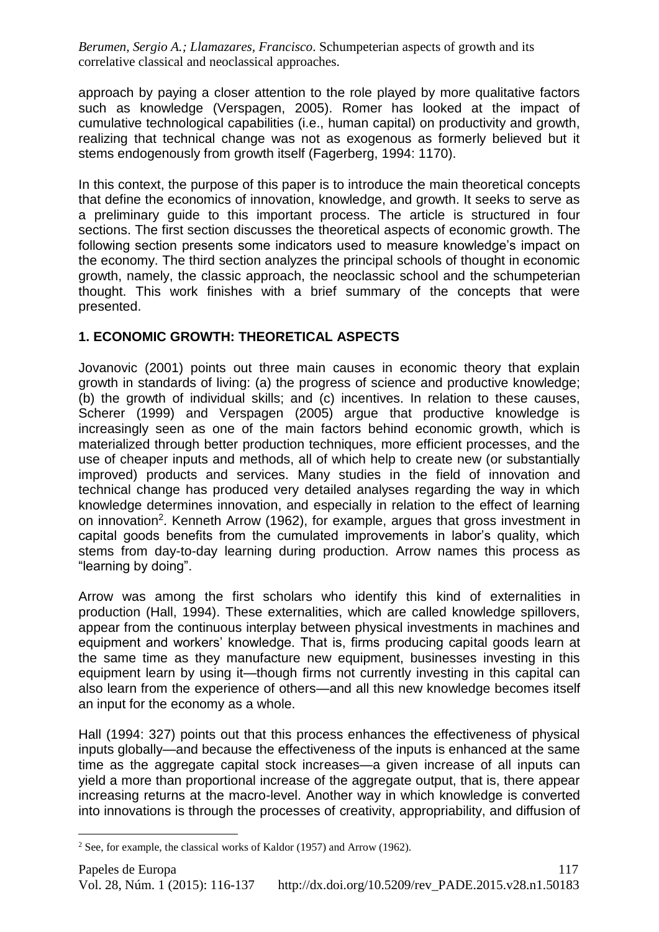approach by paying a closer attention to the role played by more qualitative factors such as knowledge (Verspagen, 2005). Romer has looked at the impact of cumulative technological capabilities (i.e., human capital) on productivity and growth, realizing that technical change was not as exogenous as formerly believed but it stems endogenously from growth itself (Fagerberg, 1994: 1170).

In this context, the purpose of this paper is to introduce the main theoretical concepts that define the economics of innovation, knowledge, and growth. It seeks to serve as a preliminary guide to this important process. The article is structured in four sections. The first section discusses the theoretical aspects of economic growth. The following section presents some indicators used to measure knowledge's impact on the economy. The third section analyzes the principal schools of thought in economic growth, namely, the classic approach, the neoclassic school and the schumpeterian thought. This work finishes with a brief summary of the concepts that were presented.

# **1. ECONOMIC GROWTH: THEORETICAL ASPECTS**

Jovanovic (2001) points out three main causes in economic theory that explain growth in standards of living: (a) the progress of science and productive knowledge; (b) the growth of individual skills; and (c) incentives. In relation to these causes, Scherer (1999) and Verspagen (2005) argue that productive knowledge is increasingly seen as one of the main factors behind economic growth, which is materialized through better production techniques, more efficient processes, and the use of cheaper inputs and methods, all of which help to create new (or substantially improved) products and services. Many studies in the field of innovation and technical change has produced very detailed analyses regarding the way in which knowledge determines innovation, and especially in relation to the effect of learning on innovation<sup>2</sup>. Kenneth Arrow (1962), for example, argues that gross investment in capital goods benefits from the cumulated improvements in labor's quality, which stems from day-to-day learning during production. Arrow names this process as "learning by doing".

Arrow was among the first scholars who identify this kind of externalities in production (Hall, 1994). These externalities, which are called knowledge spillovers, appear from the continuous interplay between physical investments in machines and equipment and workers' knowledge. That is, firms producing capital goods learn at the same time as they manufacture new equipment, businesses investing in this equipment learn by using it—though firms not currently investing in this capital can also learn from the experience of others—and all this new knowledge becomes itself an input for the economy as a whole.

Hall (1994: 327) points out that this process enhances the effectiveness of physical inputs globally—and because the effectiveness of the inputs is enhanced at the same time as the aggregate capital stock increases—a given increase of all inputs can yield a more than proportional increase of the aggregate output, that is, there appear increasing returns at the macro-level. Another way in which knowledge is converted into innovations is through the processes of creativity, appropriability, and diffusion of

<sup>2</sup> See, for example, the classical works of Kaldor (1957) and Arrow (1962).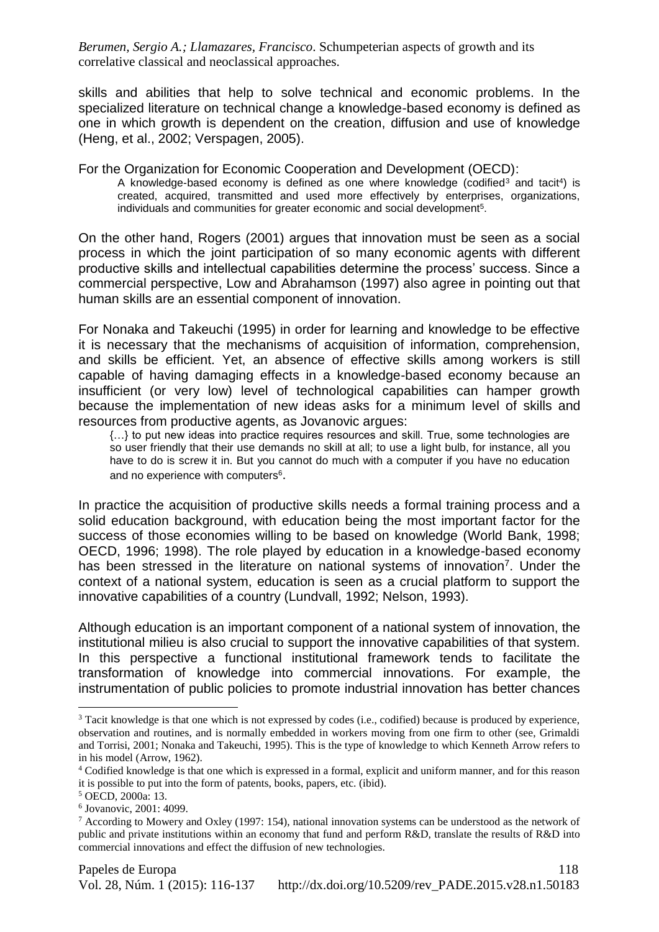skills and abilities that help to solve technical and economic problems. In the specialized literature on technical change a knowledge-based economy is defined as one in which growth is dependent on the creation, diffusion and use of knowledge (Heng, et al., 2002; Verspagen, 2005).

For the Organization for Economic Cooperation and Development (OECD):

A knowledge-based economy is defined as one where knowledge (codified<sup>3</sup> and tacit<sup>4</sup>) is created, acquired, transmitted and used more effectively by enterprises, organizations, individuals and communities for greater economic and social development<sup>5</sup>.

On the other hand, Rogers (2001) argues that innovation must be seen as a social process in which the joint participation of so many economic agents with different productive skills and intellectual capabilities determine the process' success. Since a commercial perspective, Low and Abrahamson (1997) also agree in pointing out that human skills are an essential component of innovation.

For Nonaka and Takeuchi (1995) in order for learning and knowledge to be effective it is necessary that the mechanisms of acquisition of information, comprehension, and skills be efficient. Yet, an absence of effective skills among workers is still capable of having damaging effects in a knowledge-based economy because an insufficient (or very low) level of technological capabilities can hamper growth because the implementation of new ideas asks for a minimum level of skills and resources from productive agents, as Jovanovic argues:

{…} to put new ideas into practice requires resources and skill. True, some technologies are so user friendly that their use demands no skill at all; to use a light bulb, for instance, all you have to do is screw it in. But you cannot do much with a computer if you have no education and no experience with computers<sup>6</sup>.

In practice the acquisition of productive skills needs a formal training process and a solid education background, with education being the most important factor for the success of those economies willing to be based on knowledge (World Bank, 1998; OECD, 1996; 1998). The role played by education in a knowledge-based economy has been stressed in the literature on national systems of innovation<sup>7</sup>. Under the context of a national system, education is seen as a crucial platform to support the innovative capabilities of a country (Lundvall, 1992; Nelson, 1993).

Although education is an important component of a national system of innovation, the institutional milieu is also crucial to support the innovative capabilities of that system. In this perspective a functional institutional framework tends to facilitate the transformation of knowledge into commercial innovations. For example, the instrumentation of public policies to promote industrial innovation has better chances

<sup>&</sup>lt;sup>3</sup> Tacit knowledge is that one which is not expressed by codes (i.e., codified) because is produced by experience, observation and routines, and is normally embedded in workers moving from one firm to other (see, Grimaldi and Torrisi, 2001; Nonaka and Takeuchi, 1995). This is the type of knowledge to which Kenneth Arrow refers to in his model (Arrow, 1962).

<sup>4</sup> Codified knowledge is that one which is expressed in a formal, explicit and uniform manner, and for this reason it is possible to put into the form of patents, books, papers, etc. (ibid).

<sup>5</sup> OECD, 2000a: 13.

<sup>6</sup> Jovanovic, 2001: 4099.

<sup>7</sup> According to Mowery and Oxley (1997: 154), national innovation systems can be understood as the network of public and private institutions within an economy that fund and perform R&D, translate the results of R&D into commercial innovations and effect the diffusion of new technologies.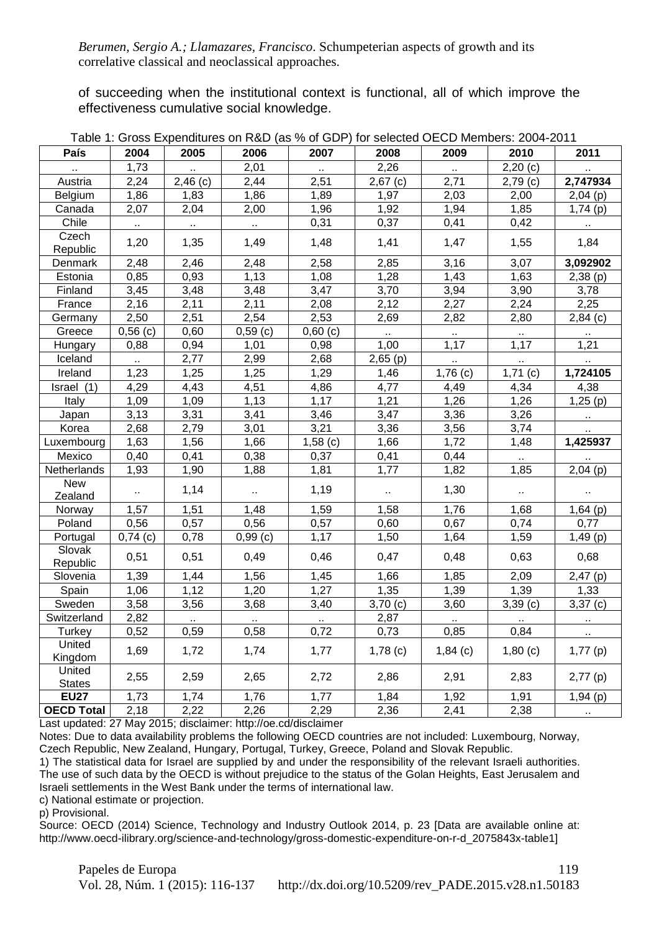of succeeding when the institutional context is functional, all of which improve the effectiveness cumulative social knowledge.

| 2,01<br>2,26<br>1,73<br>2,20(c)<br>$\ddot{\phantom{1}}$<br>$\ddot{\phantom{1}}$<br>2,44<br>2,71<br>2,24<br>$2,46$ (c)<br>2,51<br>$2,67$ (c)<br>$2,79$ (c)<br>Austria<br>1,86<br>1,89<br>1,97<br>2,03<br>Belgium<br>1,86<br>1,83<br>2,00<br>$2,04$ (p)<br>2,07<br>1,92<br>$\frac{1}{74}$ (p)<br>2,04<br>2,00<br>1,96<br>1,94<br>1,85<br>Canada<br>Chile<br>0,31<br>0,37<br>0,41<br>0,42<br>$\bar{\mathbf{r}}$<br>цý,<br>$\ddot{\phantom{1}}$<br>Ц, | País  | 2004 | 2005 | 2006 | 2007 | 2008 | 2009 | 2010 | 2011     |
|---------------------------------------------------------------------------------------------------------------------------------------------------------------------------------------------------------------------------------------------------------------------------------------------------------------------------------------------------------------------------------------------------------------------------------------------------|-------|------|------|------|------|------|------|------|----------|
|                                                                                                                                                                                                                                                                                                                                                                                                                                                   |       |      |      |      |      |      |      |      |          |
|                                                                                                                                                                                                                                                                                                                                                                                                                                                   |       |      |      |      |      |      |      |      | 2,747934 |
|                                                                                                                                                                                                                                                                                                                                                                                                                                                   |       |      |      |      |      |      |      |      |          |
|                                                                                                                                                                                                                                                                                                                                                                                                                                                   |       |      |      |      |      |      |      |      |          |
|                                                                                                                                                                                                                                                                                                                                                                                                                                                   |       |      |      |      |      |      |      |      |          |
|                                                                                                                                                                                                                                                                                                                                                                                                                                                   | Czech | 1,20 | 1,35 | 1,49 | 1,48 | 1,41 | 1,47 | 1,55 | 1,84     |
| Republic                                                                                                                                                                                                                                                                                                                                                                                                                                          |       |      |      |      |      |      |      |      |          |
| 2,48<br>2,46<br>2,58<br>3,07<br>Denmark<br>2,48<br>2,85<br>3,16                                                                                                                                                                                                                                                                                                                                                                                   |       |      |      |      |      |      |      |      | 3,092902 |
| 0,85<br>0,93<br>1,13<br>1,08<br>1,28<br>1,43<br>1,63<br>2,38(p)<br>Estonia                                                                                                                                                                                                                                                                                                                                                                        |       |      |      |      |      |      |      |      |          |
| 3,94<br>Finland<br>3,48<br>3,48<br>3,47<br>3,70<br>3,90<br>3,78<br>3,45                                                                                                                                                                                                                                                                                                                                                                           |       |      |      |      |      |      |      |      |          |
| 2,16<br>2,11<br>2,27<br>2,24<br>2,25<br>France<br>2,11<br>2,08<br>2,12                                                                                                                                                                                                                                                                                                                                                                            |       |      |      |      |      |      |      |      |          |
| 2,54<br>2,53<br>2,50<br>2,51<br>2,69<br>2,82<br>2,80<br>$2,84$ (c)<br>Germany                                                                                                                                                                                                                                                                                                                                                                     |       |      |      |      |      |      |      |      |          |
| $0,56$ (c)<br>0,60<br>$0,59$ (c)<br>0,60(c)<br>Greece<br>ò.<br>$\ddot{\phantom{1}}$                                                                                                                                                                                                                                                                                                                                                               |       |      |      |      |      |      |      |      |          |
| 1,17<br>1,17<br>1,21<br>0,94<br>1,01<br>0,98<br>1,00<br>Hungary<br>0,88                                                                                                                                                                                                                                                                                                                                                                           |       |      |      |      |      |      |      |      |          |
| 2,77<br>Iceland<br>2,99<br>2,68<br>2,65(p)<br>$\ddot{\phantom{1}}$<br>$\ddot{\phantom{a}}$<br>$\ddot{\phantom{1}}$<br>$\ddot{\phantom{a}}$                                                                                                                                                                                                                                                                                                        |       |      |      |      |      |      |      |      |          |
| 1,25<br>1,25<br>1,29<br>Ireland<br>1,23<br>1,46<br>$1,76$ (c)<br>1,71(c)                                                                                                                                                                                                                                                                                                                                                                          |       |      |      |      |      |      |      |      | 1,724105 |
| 4,29<br>4,43<br>4,51<br>4,86<br>4,49<br>4,34<br>4,38<br>Israel (1)<br>4,77                                                                                                                                                                                                                                                                                                                                                                        |       |      |      |      |      |      |      |      |          |
| 1,26<br>1,09<br>1,09<br>1,13<br>1,17<br>1,21<br>1,26<br>1,25(p)<br>Italy                                                                                                                                                                                                                                                                                                                                                                          |       |      |      |      |      |      |      |      |          |
| 3,31<br>3,41<br>3,46<br>3,26<br>3,13<br>3,47<br>3,36<br>Japan<br>$\ddot{\phantom{1}}$                                                                                                                                                                                                                                                                                                                                                             |       |      |      |      |      |      |      |      |          |
| Korea<br>2,68<br>2,79<br>3,01<br>3,21<br>3,56<br>3,74<br>3,36<br>$\ddotsc$                                                                                                                                                                                                                                                                                                                                                                        |       |      |      |      |      |      |      |      |          |
| 1,72<br>1,63<br>1,56<br>1,66<br>$1,58$ (c)<br>1,66<br>Luxembourg<br>1,48                                                                                                                                                                                                                                                                                                                                                                          |       |      |      |      |      |      |      |      | 1,425937 |
| Mexico<br>0,40<br>0,41<br>0,38<br>0,37<br>0,41<br>0,44                                                                                                                                                                                                                                                                                                                                                                                            |       |      |      |      |      |      |      |      |          |
| 1,93<br>1,90<br>1,88<br>1,81<br>1,77<br>1,82<br>1,85<br>2,04(p)<br>Netherlands                                                                                                                                                                                                                                                                                                                                                                    |       |      |      |      |      |      |      |      |          |
| <b>New</b><br>1,14<br>1,19<br>1,30                                                                                                                                                                                                                                                                                                                                                                                                                |       |      |      |      |      |      |      |      |          |
| $\mathbf{r}$ .<br>а¥.<br>$\ddot{\phantom{1}}$<br>$\mathbf{r}$ .<br>Zealand                                                                                                                                                                                                                                                                                                                                                                        |       |      |      |      |      |      |      |      |          |
| 1,51<br>1,59<br>1,76<br>Norway<br>1,57<br>1,48<br>1,58<br>1,68<br>1,64(p)                                                                                                                                                                                                                                                                                                                                                                         |       |      |      |      |      |      |      |      |          |
| Poland<br>0,56<br>0,57<br>0,56<br>0,57<br>0,60<br>0,67<br>0,74<br>0,77                                                                                                                                                                                                                                                                                                                                                                            |       |      |      |      |      |      |      |      |          |
| Portugal<br>$0,74$ (c)<br>0,78<br>0,99(c)<br>1,17<br>1,50<br>1,64<br>1,59<br>1,49(p)                                                                                                                                                                                                                                                                                                                                                              |       |      |      |      |      |      |      |      |          |
| Slovak<br>0,51<br>0,51<br>0,49<br>0,46<br>0,47<br>0,48<br>0,63<br>0,68                                                                                                                                                                                                                                                                                                                                                                            |       |      |      |      |      |      |      |      |          |
| Republic                                                                                                                                                                                                                                                                                                                                                                                                                                          |       |      |      |      |      |      |      |      |          |
| 1,39<br>$\overline{1,}44$<br>2,09<br>$\overline{2}$ , 47 (p)<br>Slovenia<br>1,56<br>1,45<br>1,66<br>1,85                                                                                                                                                                                                                                                                                                                                          |       |      |      |      |      |      |      |      |          |
| 1,06<br>1,12<br>1,20<br>1,27<br>1,35<br>1,39<br>Spain<br>1,39<br>1,33                                                                                                                                                                                                                                                                                                                                                                             |       |      |      |      |      |      |      |      |          |
| 3,58<br>3,56<br>3,68<br>3,40<br>3,60<br>$3,39$ (c)<br>$3,37$ (c)<br>Sweden<br>$3,70$ (c)                                                                                                                                                                                                                                                                                                                                                          |       |      |      |      |      |      |      |      |          |
| 2,82<br>Switzerland<br>2,87<br>$\sim$                                                                                                                                                                                                                                                                                                                                                                                                             |       |      |      |      |      |      |      |      |          |
| 0,72<br>0,52<br>0,59<br>0,58<br>0,73<br>0,85<br>0,84<br><b>Turkey</b><br>$\ddot{\phantom{a}}$                                                                                                                                                                                                                                                                                                                                                     |       |      |      |      |      |      |      |      |          |
| United<br>1,69<br>1,72<br>1,74<br>1,77<br>$1,78$ (c)<br>$1,84$ (c)<br>1,80(c)                                                                                                                                                                                                                                                                                                                                                                     |       |      |      |      |      |      |      |      | 1,77(p)  |
| Kingdom                                                                                                                                                                                                                                                                                                                                                                                                                                           |       |      |      |      |      |      |      |      |          |
| United<br>2,55<br>2,59<br>2,65<br>2,72<br>2,86<br>2,91<br>2,83<br>2,77(p)<br><b>States</b>                                                                                                                                                                                                                                                                                                                                                        |       |      |      |      |      |      |      |      |          |
| <b>EU27</b><br>1,94(p)<br>1,76<br>1,77<br>1,73<br>1,74<br>1,84<br>1,92<br>1,91                                                                                                                                                                                                                                                                                                                                                                    |       |      |      |      |      |      |      |      |          |
| <b>OECD Total</b><br>2,22<br>2,26<br>2,29<br>2,36<br>2,41<br>2,38<br>2,18                                                                                                                                                                                                                                                                                                                                                                         |       |      |      |      |      |      |      |      |          |

Table 1: Gross Expenditures on R&D (as % of GDP) for selected OECD Members: 2004-2011

Last updated: 27 May 2015; disclaimer: http://oe.cd/disclaimer

Notes: Due to data availability problems the following OECD countries are not included: Luxembourg, Norway, Czech Republic, New Zealand, Hungary, Portugal, Turkey, Greece, Poland and Slovak Republic.

1) The statistical data for Israel are supplied by and under the responsibility of the relevant Israeli authorities. The use of such data by the OECD is without prejudice to the status of the Golan Heights, East Jerusalem and Israeli settlements in the West Bank under the terms of international law.

c) National estimate or projection.

p) Provisional.

Source: OECD (2014) Science, Technology and Industry Outlook 2014, p. 23 [Data are available online at: http://www.oecd-ilibrary.org/science-and-technology/gross-domestic-expenditure-on-r-d\_2075843x-table1]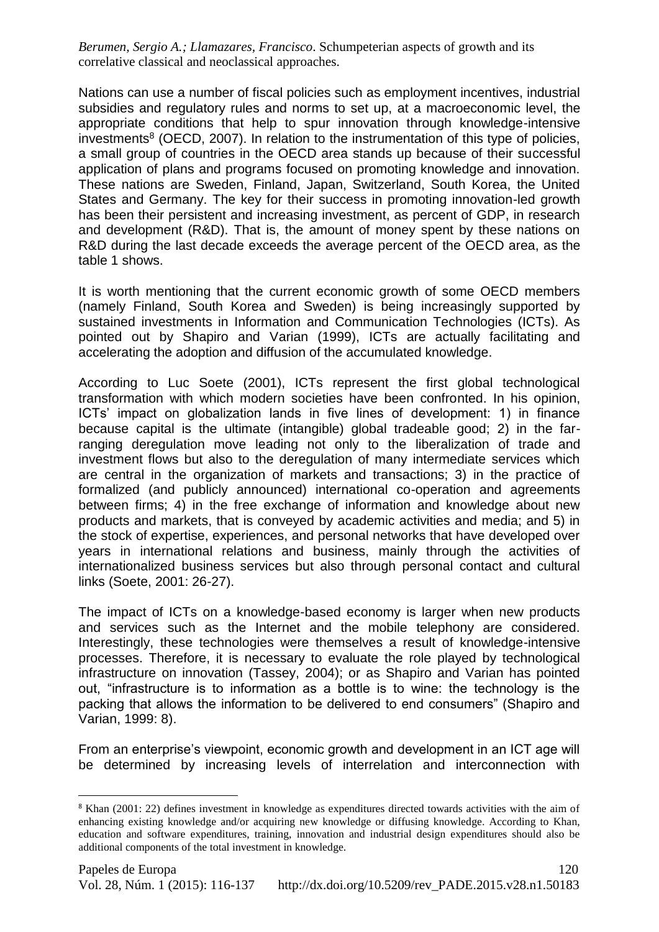Nations can use a number of fiscal policies such as employment incentives, industrial subsidies and regulatory rules and norms to set up, at a macroeconomic level, the appropriate conditions that help to spur innovation through knowledge-intensive investments<sup>8</sup> (OECD, 2007). In relation to the instrumentation of this type of policies, a small group of countries in the OECD area stands up because of their successful application of plans and programs focused on promoting knowledge and innovation. These nations are Sweden, Finland, Japan, Switzerland, South Korea, the United States and Germany. The key for their success in promoting innovation-led growth has been their persistent and increasing investment, as percent of GDP, in research and development (R&D). That is, the amount of money spent by these nations on R&D during the last decade exceeds the average percent of the OECD area, as the table 1 shows.

It is worth mentioning that the current economic growth of some OECD members (namely Finland, South Korea and Sweden) is being increasingly supported by sustained investments in Information and Communication Technologies (ICTs). As pointed out by Shapiro and Varian (1999), ICTs are actually facilitating and accelerating the adoption and diffusion of the accumulated knowledge.

According to Luc Soete (2001), ICTs represent the first global technological transformation with which modern societies have been confronted. In his opinion, ICTs' impact on globalization lands in five lines of development: 1) in finance because capital is the ultimate (intangible) global tradeable good; 2) in the farranging deregulation move leading not only to the liberalization of trade and investment flows but also to the deregulation of many intermediate services which are central in the organization of markets and transactions; 3) in the practice of formalized (and publicly announced) international co-operation and agreements between firms; 4) in the free exchange of information and knowledge about new products and markets, that is conveyed by academic activities and media; and 5) in the stock of expertise, experiences, and personal networks that have developed over years in international relations and business, mainly through the activities of internationalized business services but also through personal contact and cultural links (Soete, 2001: 26-27).

The impact of ICTs on a knowledge-based economy is larger when new products and services such as the Internet and the mobile telephony are considered. Interestingly, these technologies were themselves a result of knowledge-intensive processes. Therefore, it is necessary to evaluate the role played by technological infrastructure on innovation (Tassey, 2004); or as Shapiro and Varian has pointed out, "infrastructure is to information as a bottle is to wine: the technology is the packing that allows the information to be delivered to end consumers" (Shapiro and Varian, 1999: 8).

From an enterprise's viewpoint, economic growth and development in an ICT age will be determined by increasing levels of interrelation and interconnection with

<sup>&</sup>lt;sup>8</sup> Khan (2001: 22) defines investment in knowledge as expenditures directed towards activities with the aim of enhancing existing knowledge and/or acquiring new knowledge or diffusing knowledge. According to Khan, education and software expenditures, training, innovation and industrial design expenditures should also be additional components of the total investment in knowledge.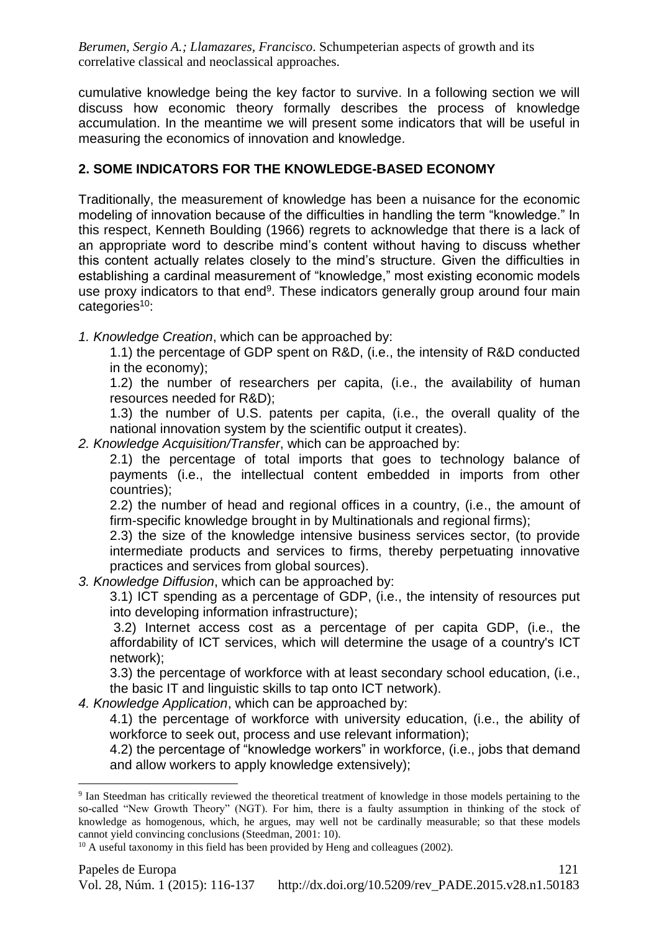cumulative knowledge being the key factor to survive. In a following section we will discuss how economic theory formally describes the process of knowledge accumulation. In the meantime we will present some indicators that will be useful in measuring the economics of innovation and knowledge.

## **2. SOME INDICATORS FOR THE KNOWLEDGE-BASED ECONOMY**

Traditionally, the measurement of knowledge has been a nuisance for the economic modeling of innovation because of the difficulties in handling the term "knowledge." In this respect, Kenneth Boulding (1966) regrets to acknowledge that there is a lack of an appropriate word to describe mind's content without having to discuss whether this content actually relates closely to the mind's structure. Given the difficulties in establishing a cardinal measurement of "knowledge," most existing economic models use proxy indicators to that end<sup>9</sup>. These indicators generally group around four main categories $10$ :

*1. Knowledge Creation*, which can be approached by:

1.1) the percentage of GDP spent on R&D, (i.e., the intensity of R&D conducted in the economy);

1.2) the number of researchers per capita, (i.e., the availability of human resources needed for R&D);

1.3) the number of U.S. patents per capita, (i.e., the overall quality of the national innovation system by the scientific output it creates).

*2. Knowledge Acquisition/Transfer*, which can be approached by:

2.1) the percentage of total imports that goes to technology balance of payments (i.e., the intellectual content embedded in imports from other countries);

2.2) the number of head and regional offices in a country, (i.e., the amount of firm-specific knowledge brought in by Multinationals and regional firms);

2.3) the size of the knowledge intensive business services sector, (to provide intermediate products and services to firms, thereby perpetuating innovative practices and services from global sources).

*3. Knowledge Diffusion*, which can be approached by:

3.1) ICT spending as a percentage of GDP, (i.e., the intensity of resources put into developing information infrastructure);

3.2) Internet access cost as a percentage of per capita GDP, (i.e., the affordability of ICT services, which will determine the usage of a country's ICT network);

3.3) the percentage of workforce with at least secondary school education, (i.e., the basic IT and linguistic skills to tap onto ICT network).

*4. Knowledge Application*, which can be approached by:

4.1) the percentage of workforce with university education, (i.e., the ability of workforce to seek out, process and use relevant information);

4.2) the percentage of "knowledge workers" in workforce, (i.e., jobs that demand and allow workers to apply knowledge extensively);

<sup>9</sup> Ian Steedman has critically reviewed the theoretical treatment of knowledge in those models pertaining to the so-called "New Growth Theory" (NGT). For him, there is a faulty assumption in thinking of the stock of knowledge as homogenous, which, he argues, may well not be cardinally measurable; so that these models cannot yield convincing conclusions (Steedman, 2001: 10).

<sup>&</sup>lt;sup>10</sup> A useful taxonomy in this field has been provided by Heng and colleagues (2002).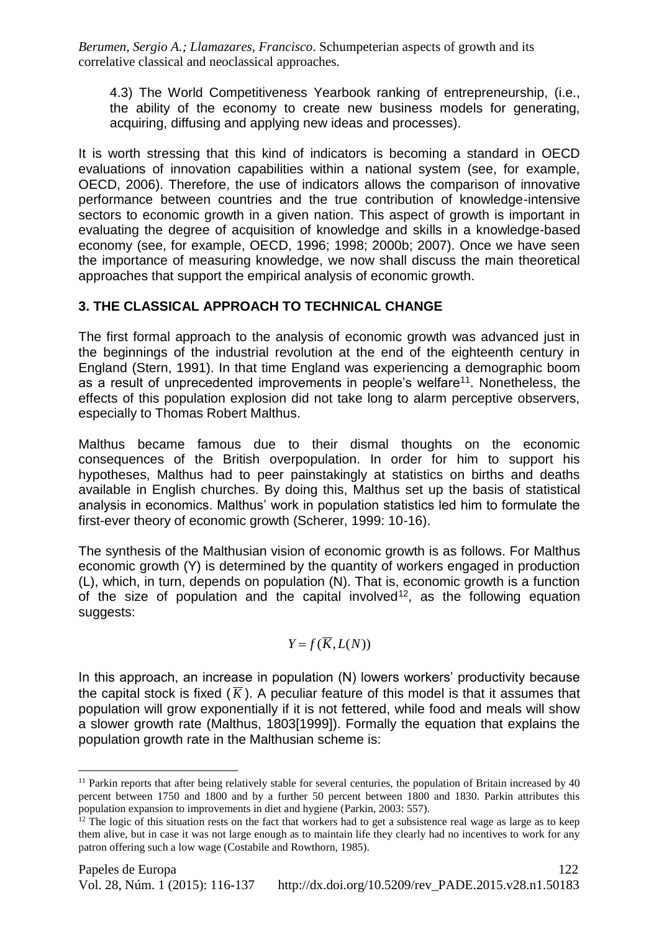4.3) The World Competitiveness Yearbook ranking of entrepreneurship, (i.e., the ability of the economy to create new business models for generating, acquiring, diffusing and applying new ideas and processes).

It is worth stressing that this kind of indicators is becoming a standard in OECD evaluations of innovation capabilities within a national system (see, for example, OECD, 2006). Therefore, the use of indicators allows the comparison of innovative performance between countries and the true contribution of knowledge-intensive sectors to economic growth in a given nation. This aspect of growth is important in evaluating the degree of acquisition of knowledge and skills in a knowledge-based economy (see, for example, OECD, 1996; 1998; 2000b; 2007). Once we have seen the importance of measuring knowledge, we now shall discuss the main theoretical approaches that support the empirical analysis of economic growth.

# **3. THE CLASSICAL APPROACH TO TECHNICAL CHANGE**

The first formal approach to the analysis of economic growth was advanced just in the beginnings of the industrial revolution at the end of the eighteenth century in England (Stern, 1991). In that time England was experiencing a demographic boom as a result of unprecedented improvements in people's welfare<sup>11</sup>. Nonetheless, the effects of this population explosion did not take long to alarm perceptive observers, especially to Thomas Robert Malthus.

Malthus became famous due to their dismal thoughts on the economic consequences of the British overpopulation. In order for him to support his hypotheses, Malthus had to peer painstakingly at statistics on births and deaths available in English churches. By doing this, Malthus set up the basis of statistical analysis in economics. Malthus' work in population statistics led him to formulate the first-ever theory of economic growth (Scherer, 1999: 10-16).

The synthesis of the Malthusian vision of economic growth is as follows. For Malthus economic growth (Y) is determined by the quantity of workers engaged in production (L), which, in turn, depends on population (N). That is, economic growth is a function of the size of population and the capital involved<sup>12</sup>, as the following equation suggests:

$$
Y = f(\overline{K}, L(N))
$$

In this approach, an increase in population (N) lowers workers' productivity because the capital stock is fixed ( $\overline{K}$ ). A peculiar feature of this model is that it assumes that population will grow exponentially if it is not fettered, while food and meals will show a slower growth rate (Malthus, 1803[1999]). Formally the equation that explains the population growth rate in the Malthusian scheme is:

<sup>&</sup>lt;sup>11</sup> Parkin reports that after being relatively stable for several centuries, the population of Britain increased by 40 percent between 1750 and 1800 and by a further 50 percent between 1800 and 1830. Parkin attributes this population expansion to improvements in diet and hygiene (Parkin, 2003: 557).

 $12$  The logic of this situation rests on the fact that workers had to get a subsistence real wage as large as to keep them alive, but in case it was not large enough as to maintain life they clearly had no incentives to work for any patron offering such a low wage (Costabile and Rowthorn, 1985).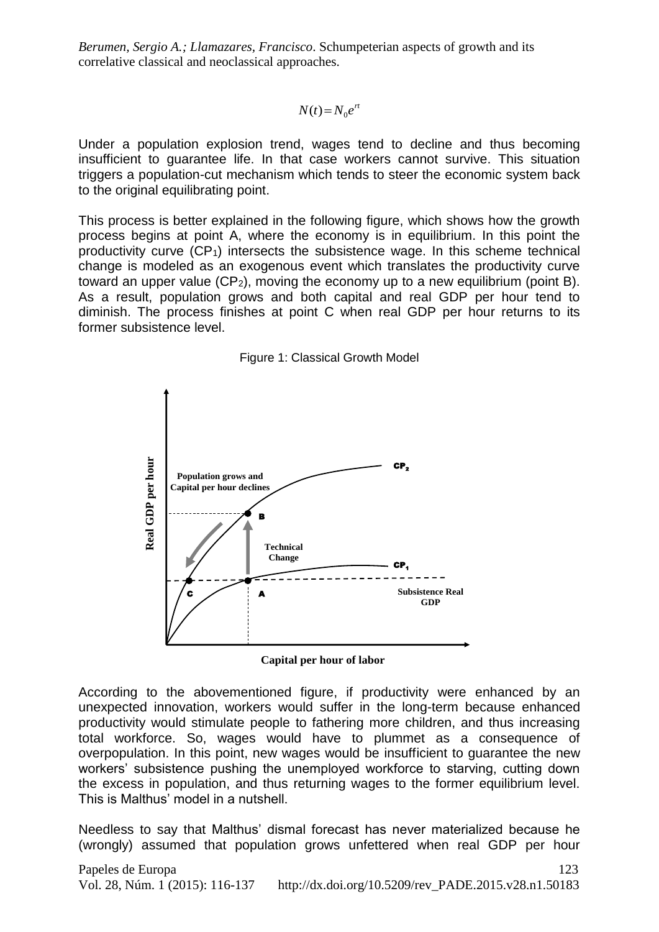$N(t) = N_0 e^{rt}$ 

Under a population explosion trend, wages tend to decline and thus becoming insufficient to guarantee life. In that case workers cannot survive. This situation triggers a population-cut mechanism which tends to steer the economic system back to the original equilibrating point.

This process is better explained in the following figure, which shows how the growth process begins at point A, where the economy is in equilibrium. In this point the productivity curve (CP1) intersects the subsistence wage. In this scheme technical change is modeled as an exogenous event which translates the productivity curve toward an upper value  $(CP_2)$ , moving the economy up to a new equilibrium (point B). As a result, population grows and both capital and real GDP per hour tend to diminish. The process finishes at point C when real GDP per hour returns to its former subsistence level.





**Capital per hour of labor**

According to the abovementioned figure, if productivity were enhanced by an unexpected innovation, workers would suffer in the long-term because enhanced productivity would stimulate people to fathering more children, and thus increasing total workforce. So, wages would have to plummet as a consequence of overpopulation. In this point, new wages would be insufficient to guarantee the new workers' subsistence pushing the unemployed workforce to starving, cutting down the excess in population, and thus returning wages to the former equilibrium level. This is Malthus' model in a nutshell.

Needless to say that Malthus' dismal forecast has never materialized because he (wrongly) assumed that population grows unfettered when real GDP per hour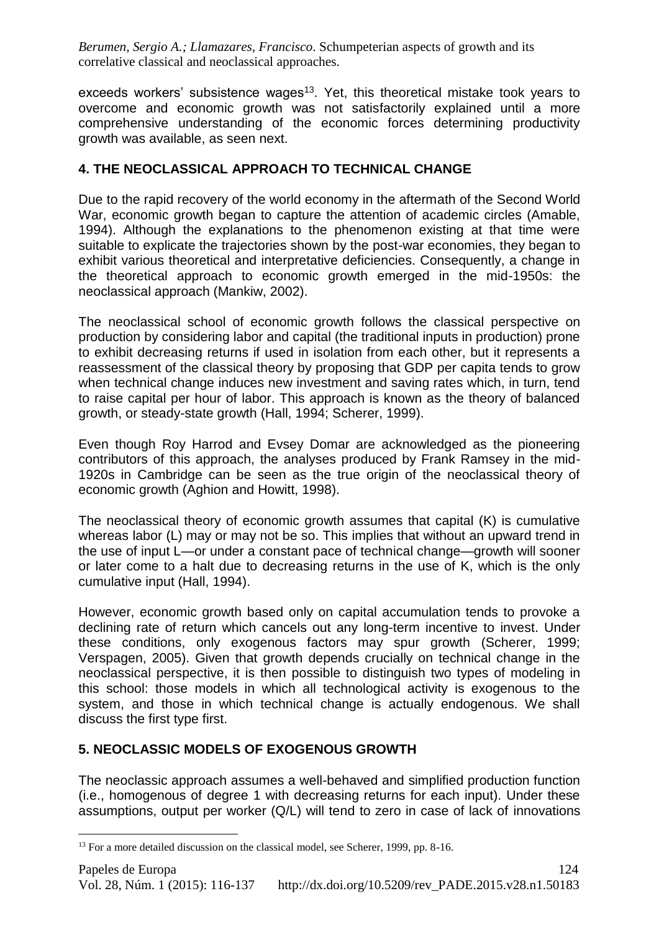exceeds workers' subsistence wages<sup>13</sup>. Yet, this theoretical mistake took years to overcome and economic growth was not satisfactorily explained until a more comprehensive understanding of the economic forces determining productivity growth was available, as seen next.

# **4. THE NEOCLASSICAL APPROACH TO TECHNICAL CHANGE**

Due to the rapid recovery of the world economy in the aftermath of the Second World War, economic growth began to capture the attention of academic circles (Amable, 1994). Although the explanations to the phenomenon existing at that time were suitable to explicate the trajectories shown by the post-war economies, they began to exhibit various theoretical and interpretative deficiencies. Consequently, a change in the theoretical approach to economic growth emerged in the mid-1950s: the neoclassical approach (Mankiw, 2002).

The neoclassical school of economic growth follows the classical perspective on production by considering labor and capital (the traditional inputs in production) prone to exhibit decreasing returns if used in isolation from each other, but it represents a reassessment of the classical theory by proposing that GDP per capita tends to grow when technical change induces new investment and saving rates which, in turn, tend to raise capital per hour of labor. This approach is known as the theory of balanced growth, or steady-state growth (Hall, 1994; Scherer, 1999).

Even though Roy Harrod and Evsey Domar are acknowledged as the pioneering contributors of this approach, the analyses produced by Frank Ramsey in the mid-1920s in Cambridge can be seen as the true origin of the neoclassical theory of economic growth (Aghion and Howitt, 1998).

The neoclassical theory of economic growth assumes that capital (K) is cumulative whereas labor (L) may or may not be so. This implies that without an upward trend in the use of input L—or under a constant pace of technical change—growth will sooner or later come to a halt due to decreasing returns in the use of K, which is the only cumulative input (Hall, 1994).

However, economic growth based only on capital accumulation tends to provoke a declining rate of return which cancels out any long-term incentive to invest. Under these conditions, only exogenous factors may spur growth (Scherer, 1999; Verspagen, 2005). Given that growth depends crucially on technical change in the neoclassical perspective, it is then possible to distinguish two types of modeling in this school: those models in which all technological activity is exogenous to the system, and those in which technical change is actually endogenous. We shall discuss the first type first.

### **5. NEOCLASSIC MODELS OF EXOGENOUS GROWTH**

 $\overline{a}$ 

The neoclassic approach assumes a well-behaved and simplified production function (i.e., homogenous of degree 1 with decreasing returns for each input). Under these assumptions, output per worker (Q/L) will tend to zero in case of lack of innovations

<sup>&</sup>lt;sup>13</sup> For a more detailed discussion on the classical model, see Scherer, 1999, pp. 8-16.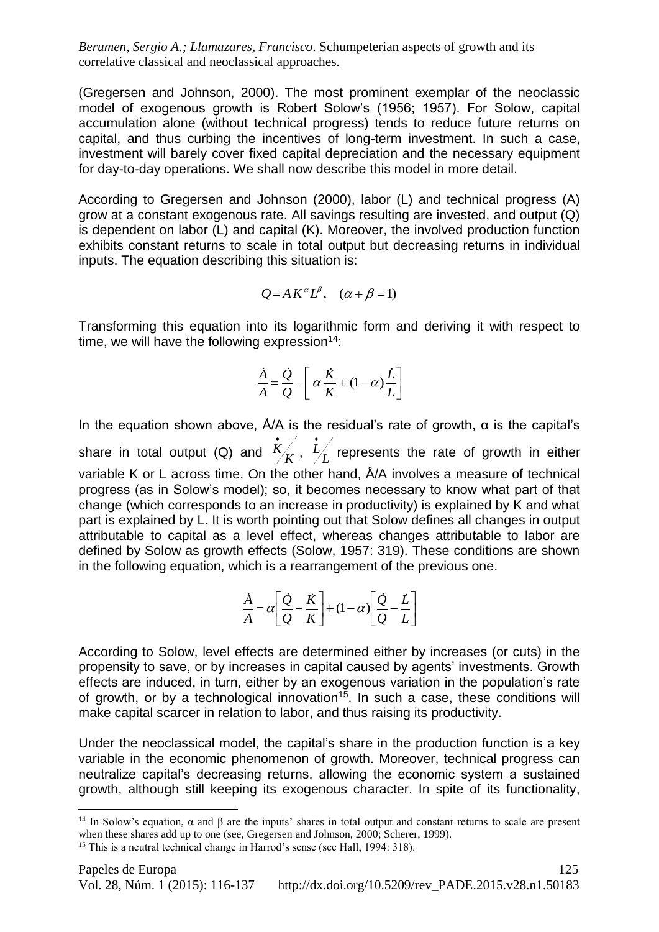(Gregersen and Johnson, 2000). The most prominent exemplar of the neoclassic model of exogenous growth is Robert Solow's (1956; 1957). For Solow, capital accumulation alone (without technical progress) tends to reduce future returns on capital, and thus curbing the incentives of long-term investment. In such a case, investment will barely cover fixed capital depreciation and the necessary equipment for day-to-day operations. We shall now describe this model in more detail.

According to Gregersen and Johnson (2000), labor (L) and technical progress (A) grow at a constant exogenous rate. All savings resulting are invested, and output (Q) is dependent on labor (L) and capital (K). Moreover, the involved production function exhibits constant returns to scale in total output but decreasing returns in individual inputs. The equation describing this situation is:

$$
Q = AK^{\alpha}L^{\beta}, \quad (\alpha + \beta = 1)
$$

Transforming this equation into its logarithmic form and deriving it with respect to time, we will have the following expression $14$ :

$$
\frac{\dot{A}}{A} = \frac{\dot{Q}}{Q} - \left[ \alpha \frac{\dot{K}}{K} + (1 - \alpha) \frac{L}{L} \right]
$$

In the equation shown above,  $\hat{A}/A$  is the residual's rate of growth,  $\alpha$  is the capital's share in total output (Q) and  $\frac{K}{K}$ *K*  $, \frac{L}{L}$ *L* represents the rate of growth in either variable K or L across time. On the other hand, Å/A involves a measure of technical progress (as in Solow's model); so, it becomes necessary to know what part of that change (which corresponds to an increase in productivity) is explained by K and what part is explained by L. It is worth pointing out that Solow defines all changes in output attributable to capital as a level effect, whereas changes attributable to labor are defined by Solow as growth effects (Solow, 1957: 319). These conditions are shown in the following equation, which is a rearrangement of the previous one.

$$
\frac{\dot{A}}{A} = \alpha \left[ \frac{\dot{Q}}{Q} - \frac{\dot{K}}{K} \right] + (1 - \alpha) \left[ \frac{\dot{Q}}{Q} - \frac{\dot{L}}{L} \right]
$$

According to Solow, level effects are determined either by increases (or cuts) in the propensity to save, or by increases in capital caused by agents' investments. Growth effects are induced, in turn, either by an exogenous variation in the population's rate of growth, or by a technological innovation<sup>15</sup>. In such a case, these conditions will make capital scarcer in relation to labor, and thus raising its productivity.

Under the neoclassical model, the capital's share in the production function is a key variable in the economic phenomenon of growth. Moreover, technical progress can neutralize capital's decreasing returns, allowing the economic system a sustained growth, although still keeping its exogenous character. In spite of its functionality,

<sup>&</sup>lt;sup>14</sup> In Solow's equation,  $\alpha$  and  $\beta$  are the inputs' shares in total output and constant returns to scale are present when these shares add up to one (see, Gregersen and Johnson, 2000; Scherer, 1999).

<sup>&</sup>lt;sup>15</sup> This is a neutral technical change in Harrod's sense (see Hall, 1994: 318).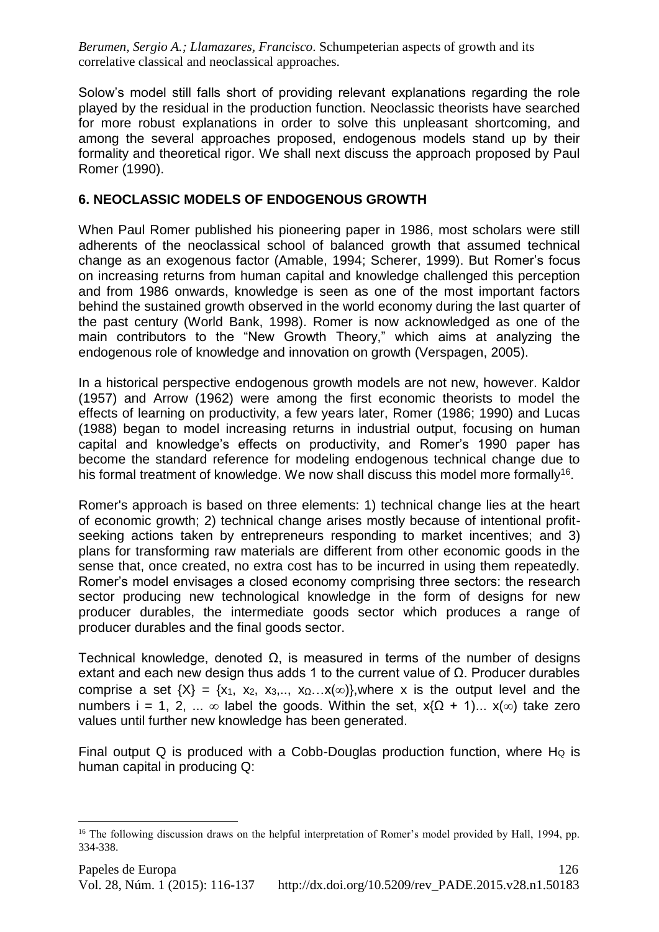Solow's model still falls short of providing relevant explanations regarding the role played by the residual in the production function. Neoclassic theorists have searched for more robust explanations in order to solve this unpleasant shortcoming, and among the several approaches proposed, endogenous models stand up by their formality and theoretical rigor. We shall next discuss the approach proposed by Paul Romer (1990).

### **6. NEOCLASSIC MODELS OF ENDOGENOUS GROWTH**

When Paul Romer published his pioneering paper in 1986, most scholars were still adherents of the neoclassical school of balanced growth that assumed technical change as an exogenous factor (Amable, 1994; Scherer, 1999). But Romer's focus on increasing returns from human capital and knowledge challenged this perception and from 1986 onwards, knowledge is seen as one of the most important factors behind the sustained growth observed in the world economy during the last quarter of the past century (World Bank, 1998). Romer is now acknowledged as one of the main contributors to the "New Growth Theory," which aims at analyzing the endogenous role of knowledge and innovation on growth (Verspagen, 2005).

In a historical perspective endogenous growth models are not new, however. Kaldor (1957) and Arrow (1962) were among the first economic theorists to model the effects of learning on productivity, a few years later, Romer (1986; 1990) and Lucas (1988) began to model increasing returns in industrial output, focusing on human capital and knowledge's effects on productivity, and Romer's 1990 paper has become the standard reference for modeling endogenous technical change due to his formal treatment of knowledge. We now shall discuss this model more formally<sup>16</sup>.

Romer's approach is based on three elements: 1) technical change lies at the heart of economic growth; 2) technical change arises mostly because of intentional profitseeking actions taken by entrepreneurs responding to market incentives; and 3) plans for transforming raw materials are different from other economic goods in the sense that, once created, no extra cost has to be incurred in using them repeatedly. Romer's model envisages a closed economy comprising three sectors: the research sector producing new technological knowledge in the form of designs for new producer durables, the intermediate goods sector which produces a range of producer durables and the final goods sector.

Technical knowledge, denoted Ω, is measured in terms of the number of designs extant and each new design thus adds 1 to the current value of  $\Omega$ . Producer durables comprise a set  $\{X\} = \{x_1, x_2, x_3, \ldots, x_{\Omega} \ldots, x_{\infty}\}\$ , where x is the output level and the numbers i = 1, 2, ...  $\infty$  label the goods. Within the set, x{Ω + 1)... x( $\infty$ ) take zero values until further new knowledge has been generated.

Final output Q is produced with a Cobb-Douglas production function, where  $H_Q$  is human capital in producing Q:

 $\overline{a}$ <sup>16</sup> The following discussion draws on the helpful interpretation of Romer's model provided by Hall, 1994, pp. 334-338.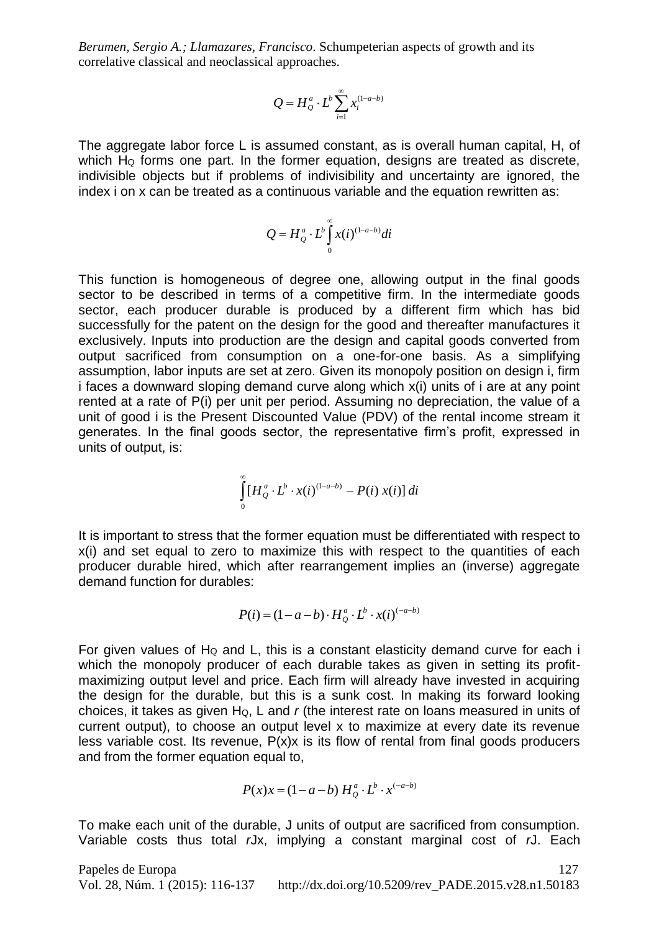$$
Q = H_Q^a \cdot L^b \sum_{i=1}^{\infty} x_i^{(1-a-b)}
$$

The aggregate labor force L is assumed constant, as is overall human capital, H, of which  $H_Q$  forms one part. In the former equation, designs are treated as discrete, indivisible objects but if problems of indivisibility and uncertainty are ignored, the index i on x can be treated as a continuous variable and the equation rewritten as:

$$
Q = H_Q^a \cdot L^b \int_0^\infty x(i)^{(1-a-b)} \, di
$$

 $Q = H_0^{\gamma} \cdot I^{\gamma} \sum_{i=1}^{N} \cdot I^{\gamma} \cdot \cdots$ <br>
The aggregate labor force L is assumed constant, as is overall human capital, H, of<br>
which H, forms one part. In the forms requisitor, designs are treated as decrete<br>
undownlote t This function is homogeneous of degree one, allowing output in the final goods sector to be described in terms of a competitive firm. In the intermediate goods sector, each producer durable is produced by a different firm which has bid successfully for the patent on the design for the good and thereafter manufactures it exclusively. Inputs into production are the design and capital goods converted from output sacrificed from consumption on a one-for-one basis. As a simplifying assumption, labor inputs are set at zero. Given its monopoly position on design i, firm i faces a downward sloping demand curve along which x(i) units of i are at any point rented at a rate of P(i) per unit per period. Assuming no depreciation, the value of a unit of good i is the Present Discounted Value (PDV) of the rental income stream it generates. In the final goods sector, the representative firm's profit, expressed in units of output, is:

$$
\int_{0}^{\infty} [H_{Q}^{a} \cdot L^{b} \cdot x(i)^{(1-a-b)} - P(i) x(i)] \, di
$$

It is important to stress that the former equation must be differentiated with respect to x(i) and set equal to zero to maximize this with respect to the quantities of each producer durable hired, which after rearrangement implies an (inverse) aggregate demand function for durables:

$$
P(i) = (1 - a - b) \cdot H_Q^a \cdot L^b \cdot x(i)^{(-a-b)}
$$

For given values of H<sub>o</sub> and L, this is a constant elasticity demand curve for each i which the monopoly producer of each durable takes as given in setting its profitmaximizing output level and price. Each firm will already have invested in acquiring the design for the durable, but this is a sunk cost. In making its forward looking choices, it takes as given HQ, L and *r* (the interest rate on loans measured in units of current output), to choose an output level x to maximize at every date its revenue less variable cost. Its revenue, P(x)x is its flow of rental from final goods producers and from the former equation equal to,

$$
P(x)x = (1 - a - b) H_0^a \cdot L^b \cdot x^{(-a-b)}
$$

To make each unit of the durable, J units of output are sacrificed from consumption. Variable costs thus total *r*Jx, implying a constant marginal cost of *r*J. Each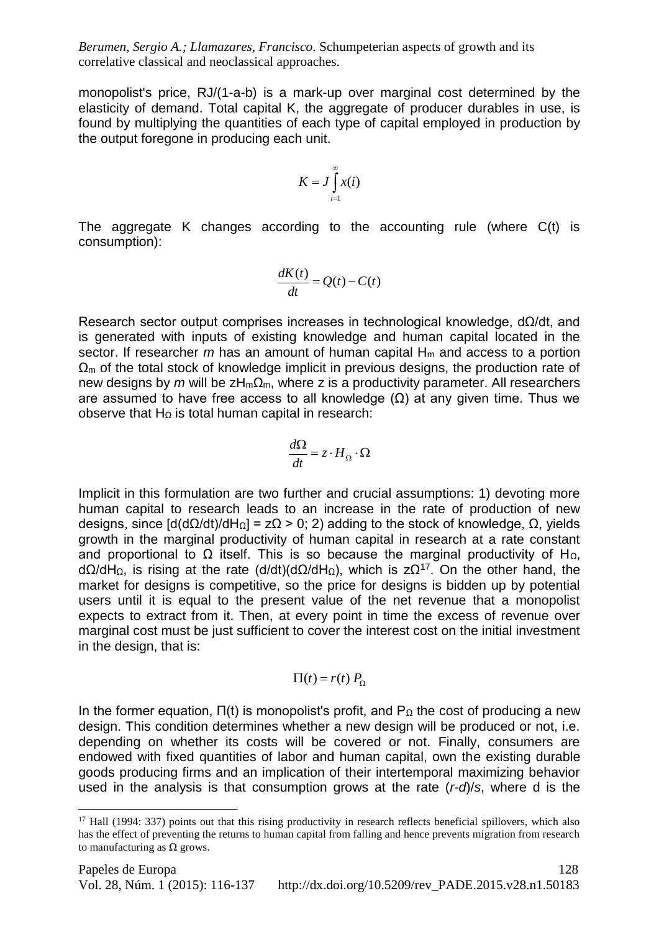monopolist's price, RJ/(1-a-b) is a mark-up over marginal cost determined by the elasticity of demand. Total capital K, the aggregate of producer durables in use, is found by multiplying the quantities of each type of capital employed in production by the output foregone in producing each unit.

$$
K = J \int_{i=1}^{\infty} x(i)
$$

The aggregate K changes according to the accounting rule (where C(t) is consumption):

$$
\frac{dK(t)}{dt} = Q(t) - C(t)
$$

Research sector output comprises increases in technological knowledge, dΩ/dt, and is generated with inputs of existing knowledge and human capital located in the sector. If researcher *m* has an amount of human capital H<sub>m</sub> and access to a portion  $\Omega_{\rm m}$  of the total stock of knowledge implicit in previous designs, the production rate of new designs by *m* will be zHmΩm, where z is a productivity parameter. All researchers are assumed to have free access to all knowledge  $(Ω)$  at any given time. Thus we observe that  $H_{\Omega}$  is total human capital in research:

$$
\frac{d\Omega}{dt} = z \cdot H_{\Omega} \cdot \Omega
$$

Implicit in this formulation are two further and crucial assumptions: 1) devoting more human capital to research leads to an increase in the rate of production of new designs, since  $\left[\frac{d\Omega}{dt}\right]$   $\left[\frac{d\Omega}{dt}\right]$  = zΩ > 0; 2) adding to the stock of knowledge, Ω, yields growth in the marginal productivity of human capital in research at a rate constant and proportional to  $\Omega$  itself. This is so because the marginal productivity of H $_{\Omega}$ , dΩ/dH<sub>Ω</sub>, is rising at the rate (d/dt)(dΩ/dH<sub>Ω</sub>), which is z $\Omega^{17}$ . On the other hand, the market for designs is competitive, so the price for designs is bidden up by potential users until it is equal to the present value of the net revenue that a monopolist expects to extract from it. Then, at every point in time the excess of revenue over marginal cost must be just sufficient to cover the interest cost on the initial investment in the design, that is:

$$
\Pi(t) = r(t) P_{\Omega}
$$

In the former equation,  $\Pi(t)$  is monopolist's profit, and P<sub>Ω</sub> the cost of producing a new design. This condition determines whether a new design will be produced or not, i.e. depending on whether its costs will be covered or not. Finally, consumers are endowed with fixed quantities of labor and human capital, own the existing durable goods producing firms and an implication of their intertemporal maximizing behavior used in the analysis is that consumption grows at the rate (*r-d*)/*s*, where d is the

<sup>&</sup>lt;sup>17</sup> Hall (1994: 337) points out that this rising productivity in research reflects beneficial spillovers, which also has the effect of preventing the returns to human capital from falling and hence prevents migration from research to manufacturing as  $\Omega$  grows.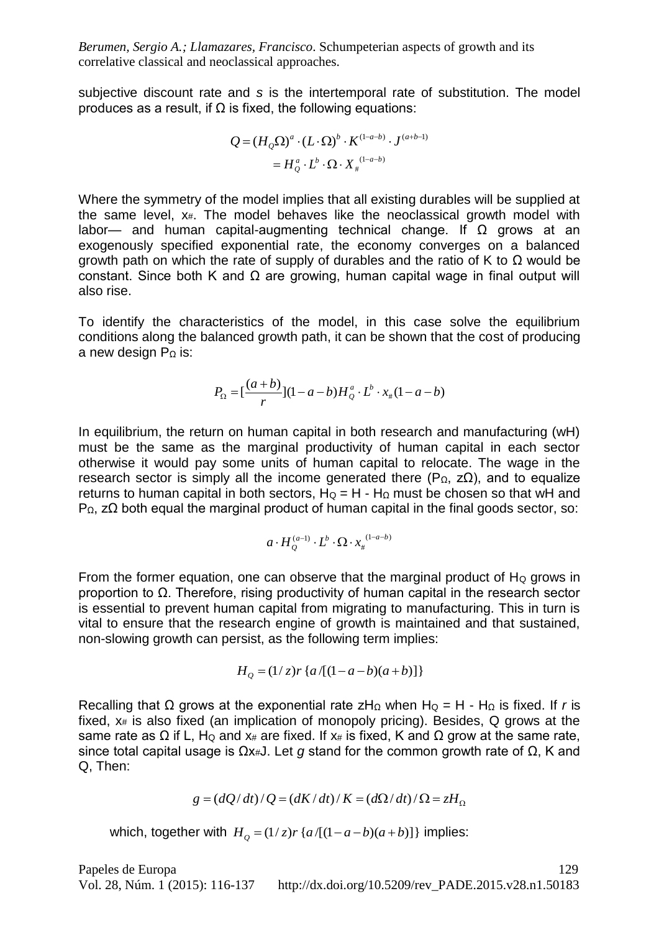subjective discount rate and *s* is the intertemporal rate of substitution. The model produces as a result, if Ω is fixed, the following equations:

$$
Q = (H_{Q}\Omega)^{a} \cdot (L \cdot \Omega)^{b} \cdot K^{(1-a-b)} \cdot J^{(a+b-1)}
$$

$$
= H_{Q}^{a} \cdot L^{b} \cdot \Omega \cdot X_{\#}^{(1-a-b)}
$$

Where the symmetry of the model implies that all existing durables will be supplied at the same level,  $x_{#}$ . The model behaves like the neoclassical growth model with labor— and human capital-augmenting technical change. If Ω grows at an exogenously specified exponential rate, the economy converges on a balanced growth path on which the rate of supply of durables and the ratio of K to Ω would be constant. Since both K and Ω are growing, human capital wage in final output will also rise.

To identify the characteristics of the model, in this case solve the equilibrium conditions along the balanced growth path, it can be shown that the cost of producing a new design P<sub>Ω</sub> is:

$$
P_{\Omega} = \left[\frac{(a+b)}{r}\right](1-a-b)H_{Q}^{a} \cdot L^{b} \cdot x_{*}(1-a-b)
$$

In equilibrium, the return on human capital in both research and manufacturing (wH) must be the same as the marginal productivity of human capital in each sector otherwise it would pay some units of human capital to relocate. The wage in the research sector is simply all the income generated there ( $P<sub>Ω</sub>$ ,  $ZΩ$ ), and to equalize returns to human capital in both sectors,  $H<sub>Q</sub> = H - H<sub>Q</sub>$  must be chosen so that wH and  $P<sub>Ω</sub>$ , zΩ both equal the marginal product of human capital in the final goods sector, so:

$$
a\cdot H_{Q}^{(a-1)}\cdot L^b\cdot \Omega\cdot x_{\#}^{(1-a-b)}
$$

From the former equation, one can observe that the marginal product of  $H<sub>Q</sub>$  grows in proportion to Ω. Therefore, rising productivity of human capital in the research sector is essential to prevent human capital from migrating to manufacturing. This in turn is vital to ensure that the research engine of growth is maintained and that sustained, non-slowing growth can persist, as the following term implies:

$$
H_{Q} = (1/z)r {a/[1-a-b)(a+b)]}
$$

Recalling that  $\Omega$  grows at the exponential rate zH<sub> $\Omega$ </sub> when H<sub>Q</sub> = H - H<sub> $\Omega$ </sub> is fixed. If *r* is fixed,  $x_{\#}$  is also fixed (an implication of monopoly pricing). Besides, Q grows at the same rate as  $\Omega$  if L, H<sub>o</sub> and x# are fixed. If x# is fixed, K and  $\Omega$  grow at the same rate, since total capital usage is  $\Omega$ x<sup>#</sup>J. Let *q* stand for the common growth rate of  $\Omega$ , K and Q, Then:

$$
g = (dQ/dt)/Q = (dK/dt)/K = (d\Omega/dt)/\Omega = zH_{\Omega}
$$

which, together with  $H_Q = (1/z)r \{a/[(1-a-b)(a+b)]\}$  implies:

Papeles de Europa de 129 Vol. 28, Núm. 1 (2015): 116-137 http://dx.doi.org/10.5209/rev\_PADE.2015.v28.n1.50183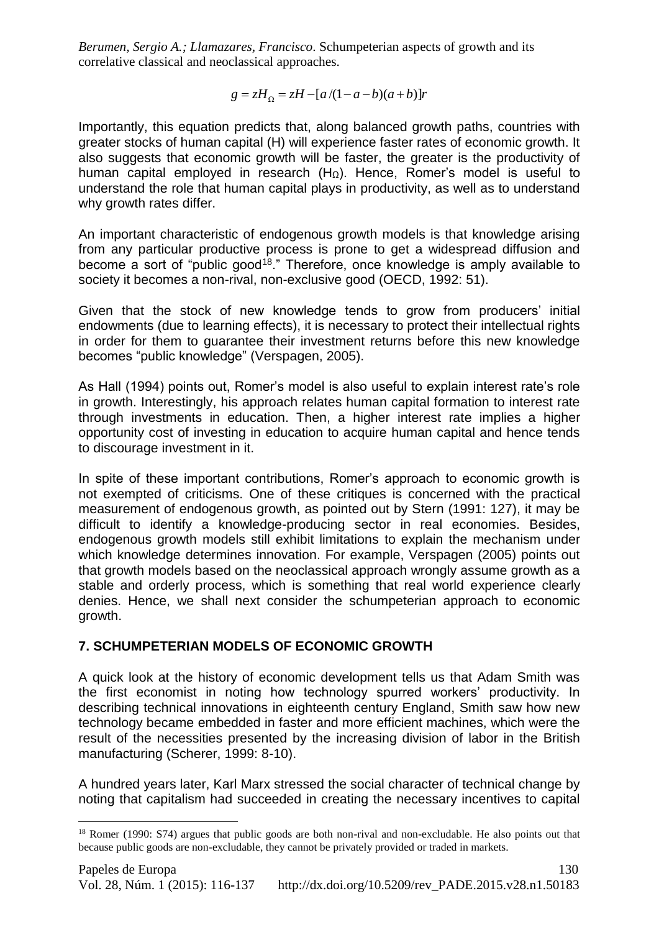$$
g = zH_{\Omega} = zH - [a/(1-a-b)(a+b)]r
$$

Importantly, this equation predicts that, along balanced growth paths, countries with greater stocks of human capital (H) will experience faster rates of economic growth. It also suggests that economic growth will be faster, the greater is the productivity of human capital employed in research (HΩ). Hence, Romer's model is useful to understand the role that human capital plays in productivity, as well as to understand why growth rates differ.

An important characteristic of endogenous growth models is that knowledge arising from any particular productive process is prone to get a widespread diffusion and become a sort of "public good<sup>18</sup>." Therefore, once knowledge is amply available to society it becomes a non-rival, non-exclusive good (OECD, 1992: 51).

Given that the stock of new knowledge tends to grow from producers' initial endowments (due to learning effects), it is necessary to protect their intellectual rights in order for them to guarantee their investment returns before this new knowledge becomes "public knowledge" (Verspagen, 2005).

As Hall (1994) points out, Romer's model is also useful to explain interest rate's role in growth. Interestingly, his approach relates human capital formation to interest rate through investments in education. Then, a higher interest rate implies a higher opportunity cost of investing in education to acquire human capital and hence tends to discourage investment in it.

Importantly, this equadion predicts that, along balanced growth paths, countries with<br>greater stocks of human capital (Hy) will experience tester rates of economic growth. It<br>greater stocks of human capital (Hy) will expe In spite of these important contributions, Romer's approach to economic growth is not exempted of criticisms. One of these critiques is concerned with the practical measurement of endogenous growth, as pointed out by Stern (1991: 127), it may be difficult to identify a knowledge-producing sector in real economies. Besides, endogenous growth models still exhibit limitations to explain the mechanism under which knowledge determines innovation. For example, Verspagen (2005) points out that growth models based on the neoclassical approach wrongly assume growth as a stable and orderly process, which is something that real world experience clearly denies. Hence, we shall next consider the schumpeterian approach to economic growth.

### **7. SCHUMPETERIAN MODELS OF ECONOMIC GROWTH**

 $\overline{a}$ 

A quick look at the history of economic development tells us that Adam Smith was the first economist in noting how technology spurred workers' productivity. In describing technical innovations in eighteenth century England, Smith saw how new technology became embedded in faster and more efficient machines, which were the result of the necessities presented by the increasing division of labor in the British manufacturing (Scherer, 1999: 8-10).

A hundred years later, Karl Marx stressed the social character of technical change by noting that capitalism had succeeded in creating the necessary incentives to capital

<sup>&</sup>lt;sup>18</sup> Romer (1990: S74) argues that public goods are both non-rival and non-excludable. He also points out that because public goods are non-excludable, they cannot be privately provided or traded in markets.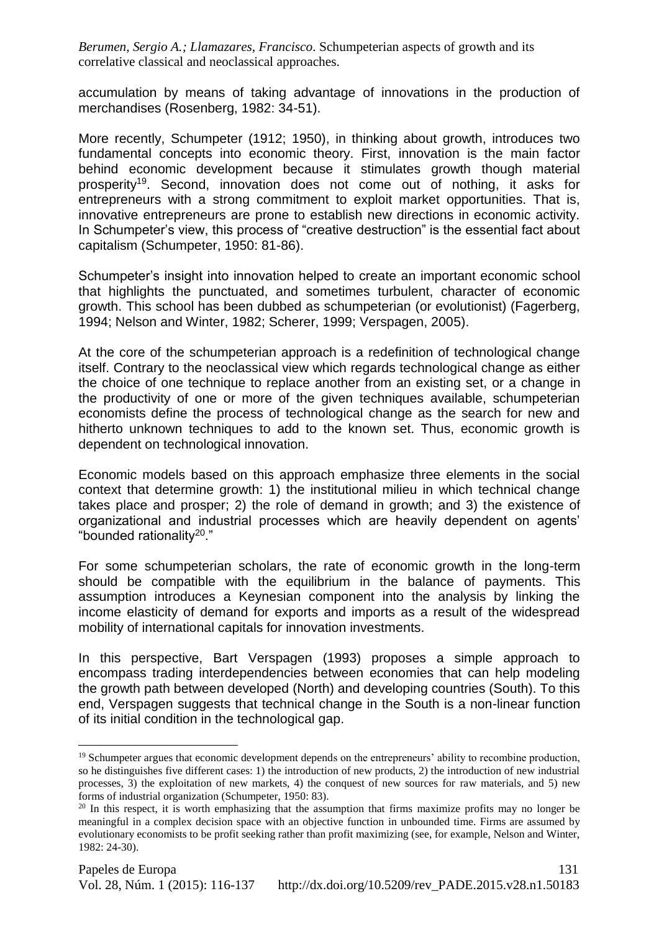accumulation by means of taking advantage of innovations in the production of merchandises (Rosenberg, 1982: 34-51).

More recently, Schumpeter (1912; 1950), in thinking about growth, introduces two fundamental concepts into economic theory. First, innovation is the main factor behind economic development because it stimulates growth though material prosperity<sup>19</sup>. Second, innovation does not come out of nothing, it asks for entrepreneurs with a strong commitment to exploit market opportunities. That is, innovative entrepreneurs are prone to establish new directions in economic activity. In Schumpeter's view, this process of "creative destruction" is the essential fact about capitalism (Schumpeter, 1950: 81-86).

Schumpeter's insight into innovation helped to create an important economic school that highlights the punctuated, and sometimes turbulent, character of economic growth. This school has been dubbed as schumpeterian (or evolutionist) (Fagerberg, 1994; Nelson and Winter, 1982; Scherer, 1999; Verspagen, 2005).

At the core of the schumpeterian approach is a redefinition of technological change itself. Contrary to the neoclassical view which regards technological change as either the choice of one technique to replace another from an existing set, or a change in the productivity of one or more of the given techniques available, schumpeterian economists define the process of technological change as the search for new and hitherto unknown techniques to add to the known set. Thus, economic growth is dependent on technological innovation.

Economic models based on this approach emphasize three elements in the social context that determine growth: 1) the institutional milieu in which technical change takes place and prosper; 2) the role of demand in growth; and 3) the existence of organizational and industrial processes which are heavily dependent on agents' "bounded rationality<sup>20</sup>."

For some schumpeterian scholars, the rate of economic growth in the long-term should be compatible with the equilibrium in the balance of payments. This assumption introduces a Keynesian component into the analysis by linking the income elasticity of demand for exports and imports as a result of the widespread mobility of international capitals for innovation investments.

In this perspective, Bart Verspagen (1993) proposes a simple approach to encompass trading interdependencies between economies that can help modeling the growth path between developed (North) and developing countries (South). To this end, Verspagen suggests that technical change in the South is a non-linear function of its initial condition in the technological gap.

<sup>&</sup>lt;sup>19</sup> Schumpeter argues that economic development depends on the entrepreneurs' ability to recombine production, so he distinguishes five different cases: 1) the introduction of new products, 2) the introduction of new industrial processes, 3) the exploitation of new markets, 4) the conquest of new sources for raw materials, and 5) new forms of industrial organization (Schumpeter, 1950: 83).

<sup>&</sup>lt;sup>20</sup> In this respect, it is worth emphasizing that the assumption that firms maximize profits may no longer be meaningful in a complex decision space with an objective function in unbounded time. Firms are assumed by evolutionary economists to be profit seeking rather than profit maximizing (see, for example, Nelson and Winter, 1982: 24-30).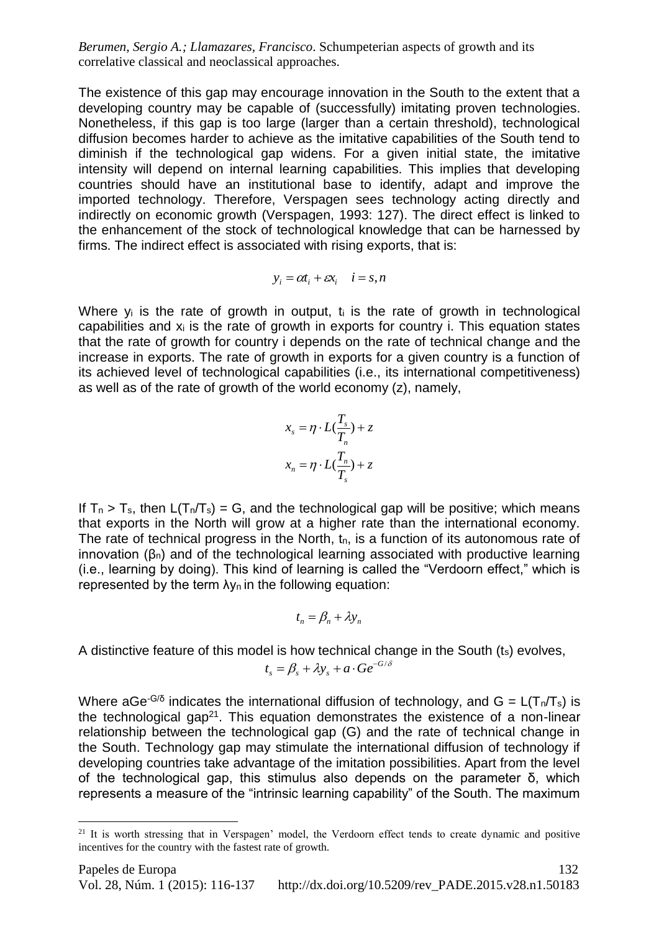The existence of this gap may encourage innovation in the South to the extent that a developing country may be capable of (successfully) imitating proven technologies. Nonetheless, if this gap is too large (larger than a certain threshold), technological diffusion becomes harder to achieve as the imitative capabilities of the South tend to diminish if the technological gap widens. For a given initial state, the imitative intensity will depend on internal learning capabilities. This implies that developing countries should have an institutional base to identify, adapt and improve the imported technology. Therefore, Verspagen sees technology acting directly and indirectly on economic growth (Verspagen, 1993: 127). The direct effect is linked to the enhancement of the stock of technological knowledge that can be harnessed by firms. The indirect effect is associated with rising exports, that is:

$$
y_i = \alpha t_i + \varepsilon x_i \quad i = s, n
$$

Where  $y_i$  is the rate of growth in output, to is the rate of growth in technological capabilities and  $x_i$  is the rate of growth in exports for country i. This equation states that the rate of growth for country i depends on the rate of technical change and the increase in exports. The rate of growth in exports for a given country is a function of its achieved level of technological capabilities (i.e., its international competitiveness) as well as of the rate of growth of the world economy (z), namely,

$$
x_s = \eta \cdot L(\frac{T_s}{T_n}) + z
$$

$$
x_n = \eta \cdot L(\frac{T_n}{T_s}) + z
$$

If  $T_n > T_s$ , then  $L(T_n/T_s) = G$ , and the technological gap will be positive; which means that exports in the North will grow at a higher rate than the international economy. The rate of technical progress in the North,  $t_n$ , is a function of its autonomous rate of innovation  $(\beta_n)$  and of the technological learning associated with productive learning (i.e., learning by doing). This kind of learning is called the "Verdoorn effect," which is represented by the term  $λy<sub>n</sub>$  in the following equation:

$$
t_n = \beta_n + \lambda y_n
$$

A distinctive feature of this model is how technical change in the South  $(t<sub>s</sub>)$  evolves,

$$
t_s = \beta_s + \lambda y_s + a \cdot Ge^{-G/\delta}
$$

Where aGe<sup>-G/δ</sup> indicates the international diffusion of technology, and  $G = L(T_n/T_s)$  is the technological gap<sup>21</sup>. This equation demonstrates the existence of a non-linear relationship between the technological gap (G) and the rate of technical change in the South. Technology gap may stimulate the international diffusion of technology if developing countries take advantage of the imitation possibilities. Apart from the level of the technological gap, this stimulus also depends on the parameter δ, which represents a measure of the "intrinsic learning capability" of the South. The maximum

<sup>&</sup>lt;sup>21</sup> It is worth stressing that in Verspagen' model, the Verdoorn effect tends to create dynamic and positive incentives for the country with the fastest rate of growth.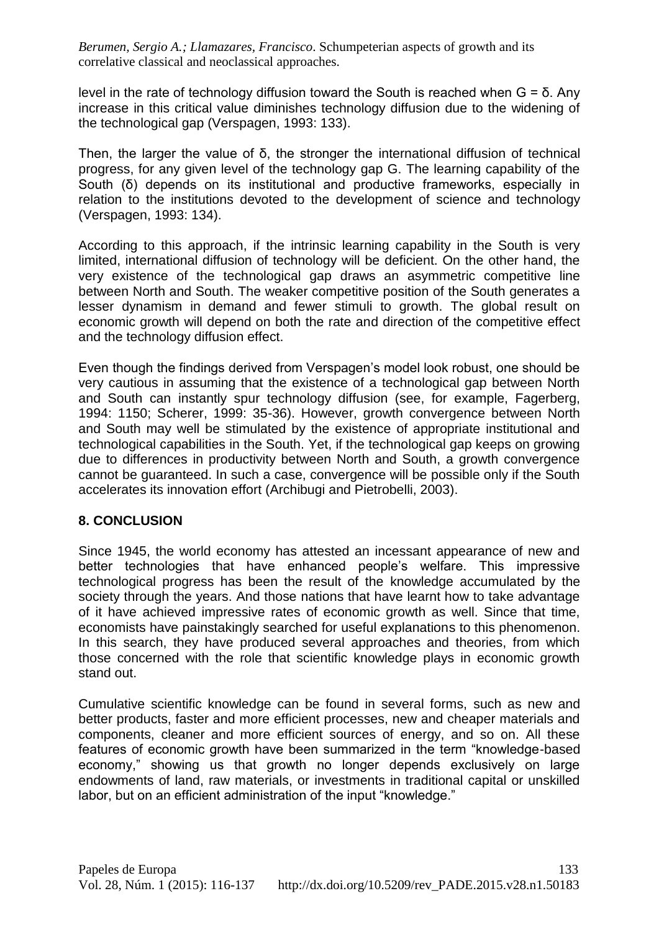level in the rate of technology diffusion toward the South is reached when G = δ. Any increase in this critical value diminishes technology diffusion due to the widening of the technological gap (Verspagen, 1993: 133).

Then, the larger the value of δ, the stronger the international diffusion of technical progress, for any given level of the technology gap G. The learning capability of the South (δ) depends on its institutional and productive frameworks, especially in relation to the institutions devoted to the development of science and technology (Verspagen, 1993: 134).

According to this approach, if the intrinsic learning capability in the South is very limited, international diffusion of technology will be deficient. On the other hand, the very existence of the technological gap draws an asymmetric competitive line between North and South. The weaker competitive position of the South generates a lesser dynamism in demand and fewer stimuli to growth. The global result on economic growth will depend on both the rate and direction of the competitive effect and the technology diffusion effect.

Even though the findings derived from Verspagen's model look robust, one should be very cautious in assuming that the existence of a technological gap between North and South can instantly spur technology diffusion (see, for example, Fagerberg, 1994: 1150; Scherer, 1999: 35-36). However, growth convergence between North and South may well be stimulated by the existence of appropriate institutional and technological capabilities in the South. Yet, if the technological gap keeps on growing due to differences in productivity between North and South, a growth convergence cannot be guaranteed. In such a case, convergence will be possible only if the South accelerates its innovation effort (Archibugi and Pietrobelli, 2003).

### **8. CONCLUSION**

Since 1945, the world economy has attested an incessant appearance of new and better technologies that have enhanced people's welfare. This impressive technological progress has been the result of the knowledge accumulated by the society through the years. And those nations that have learnt how to take advantage of it have achieved impressive rates of economic growth as well. Since that time, economists have painstakingly searched for useful explanations to this phenomenon. In this search, they have produced several approaches and theories, from which those concerned with the role that scientific knowledge plays in economic growth stand out.

Cumulative scientific knowledge can be found in several forms, such as new and better products, faster and more efficient processes, new and cheaper materials and components, cleaner and more efficient sources of energy, and so on. All these features of economic growth have been summarized in the term "knowledge-based economy," showing us that growth no longer depends exclusively on large endowments of land, raw materials, or investments in traditional capital or unskilled labor, but on an efficient administration of the input "knowledge."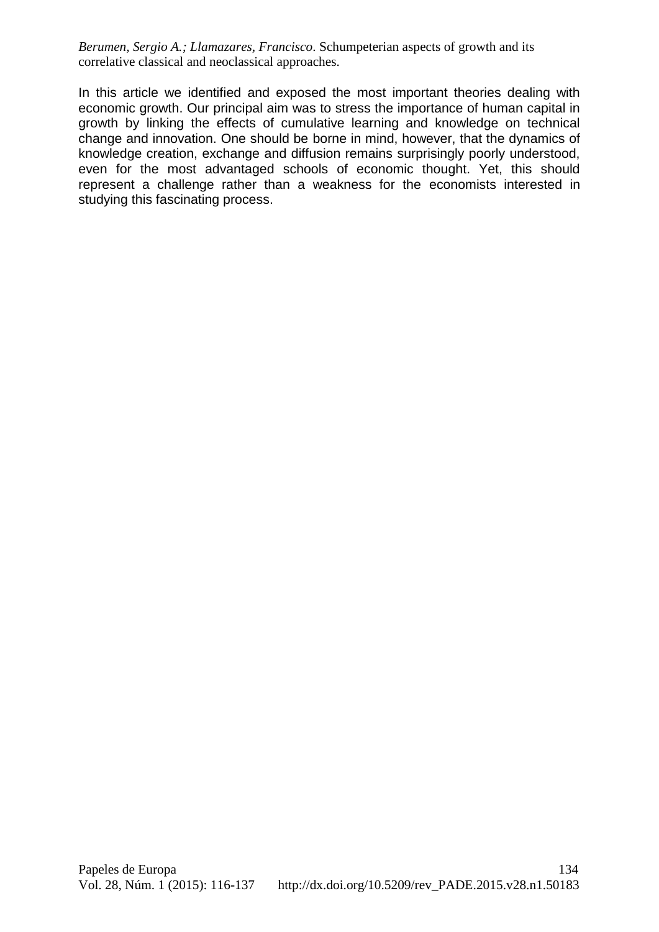In this article we identified and exposed the most important theories dealing with economic growth. Our principal aim was to stress the importance of human capital in growth by linking the effects of cumulative learning and knowledge on technical change and innovation. One should be borne in mind, however, that the dynamics of knowledge creation, exchange and diffusion remains surprisingly poorly understood, even for the most advantaged schools of economic thought. Yet, this should represent a challenge rather than a weakness for the economists interested in studying this fascinating process.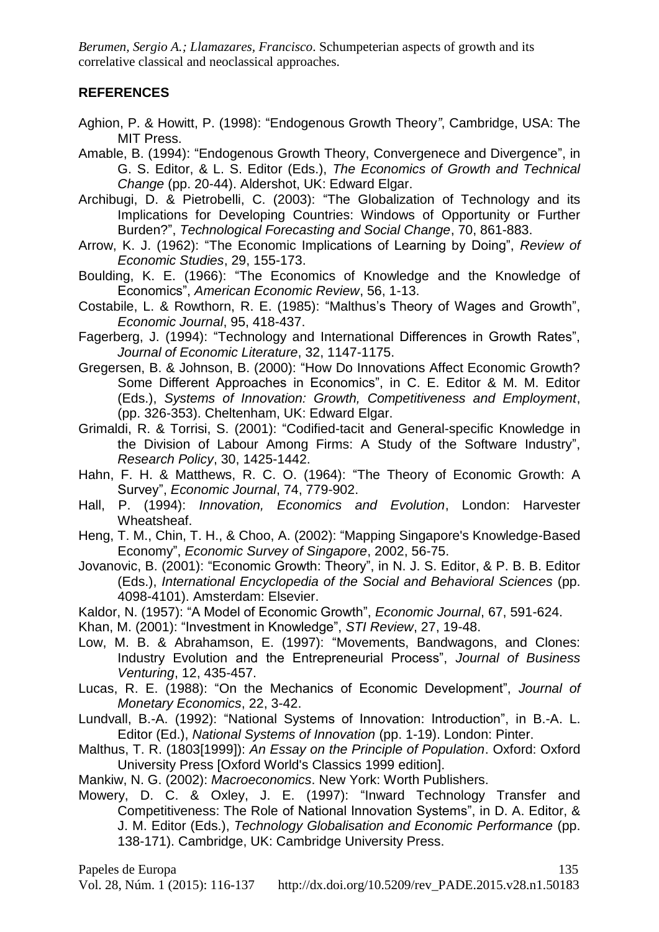### **REFERENCES**

- Aghion, P. & Howitt, P. (1998): "Endogenous Growth Theory*"*, Cambridge, USA: The MIT Press.
- Amable, B. (1994): "Endogenous Growth Theory, Convergenece and Divergence", in G. S. Editor, & L. S. Editor (Eds.), *The Economics of Growth and Technical Change* (pp. 20-44). Aldershot, UK: Edward Elgar.
- Archibugi, D. & Pietrobelli, C. (2003): "The Globalization of Technology and its Implications for Developing Countries: Windows of Opportunity or Further Burden?", *Technological Forecasting and Social Change*, 70, 861-883.
- Arrow, K. J. (1962): "The Economic Implications of Learning by Doing", *Review of Economic Studies*, 29, 155-173.
- Boulding, K. E. (1966): "The Economics of Knowledge and the Knowledge of Economics", *American Economic Review*, 56, 1-13.
- Costabile, L. & Rowthorn, R. E. (1985): "Malthus's Theory of Wages and Growth", *Economic Journal*, 95, 418-437.
- Fagerberg, J. (1994): "Technology and International Differences in Growth Rates", *Journal of Economic Literature*, 32, 1147-1175.
- Gregersen, B. & Johnson, B. (2000): "How Do Innovations Affect Economic Growth? Some Different Approaches in Economics", in C. E. Editor & M. M. Editor (Eds.), *Systems of Innovation: Growth, Competitiveness and Employment*, (pp. 326-353). Cheltenham, UK: Edward Elgar.
- Grimaldi, R. & Torrisi, S. (2001): "Codified-tacit and General-specific Knowledge in the Division of Labour Among Firms: A Study of the Software Industry", *Research Policy*, 30, 1425-1442.
- Hahn, F. H. & Matthews, R. C. O. (1964): "The Theory of Economic Growth: A Survey", *Economic Journal*, 74, 779-902.
- Hall, P. (1994): *Innovation, Economics and Evolution*, London: Harvester Wheatsheaf.
- Heng, T. M., Chin, T. H., & Choo, A. (2002): "Mapping Singapore's Knowledge-Based Economy", *Economic Survey of Singapore*, 2002, 56-75.
- Jovanovic, B. (2001): "Economic Growth: Theory", in N. J. S. Editor, & P. B. B. Editor (Eds.), *International Encyclopedia of the Social and Behavioral Sciences* (pp. 4098-4101). Amsterdam: Elsevier.
- Kaldor, N. (1957): "A Model of Economic Growth", *Economic Journal*, 67, 591-624.
- Khan, M. (2001): "Investment in Knowledge", *STI Review*, 27, 19-48.
- Low, M. B. & Abrahamson, E. (1997): "Movements, Bandwagons, and Clones: Industry Evolution and the Entrepreneurial Process", *Journal of Business Venturing*, 12, 435-457.
- Lucas, R. E. (1988): "On the Mechanics of Economic Development", *Journal of Monetary Economics*, 22, 3-42.
- Lundvall, B.-A. (1992): "National Systems of Innovation: Introduction", in B.-A. L. Editor (Ed.), *National Systems of Innovation* (pp. 1-19). London: Pinter.
- Malthus, T. R. (1803[1999]): *An Essay on the Principle of Population*. Oxford: Oxford University Press [Oxford World's Classics 1999 edition].
- Mankiw, N. G. (2002): *Macroeconomics*. New York: Worth Publishers.
- Mowery, D. C. & Oxley, J. E. (1997): "Inward Technology Transfer and Competitiveness: The Role of National Innovation Systems", in D. A. Editor, & J. M. Editor (Eds.), *Technology Globalisation and Economic Performance* (pp. 138-171). Cambridge, UK: Cambridge University Press.

Papeles de Europa 135 Vol. 28, Núm. 1 (2015): 116-137 http://dx.doi.org/10.5209/rev\_PADE.2015.v28.n1.50183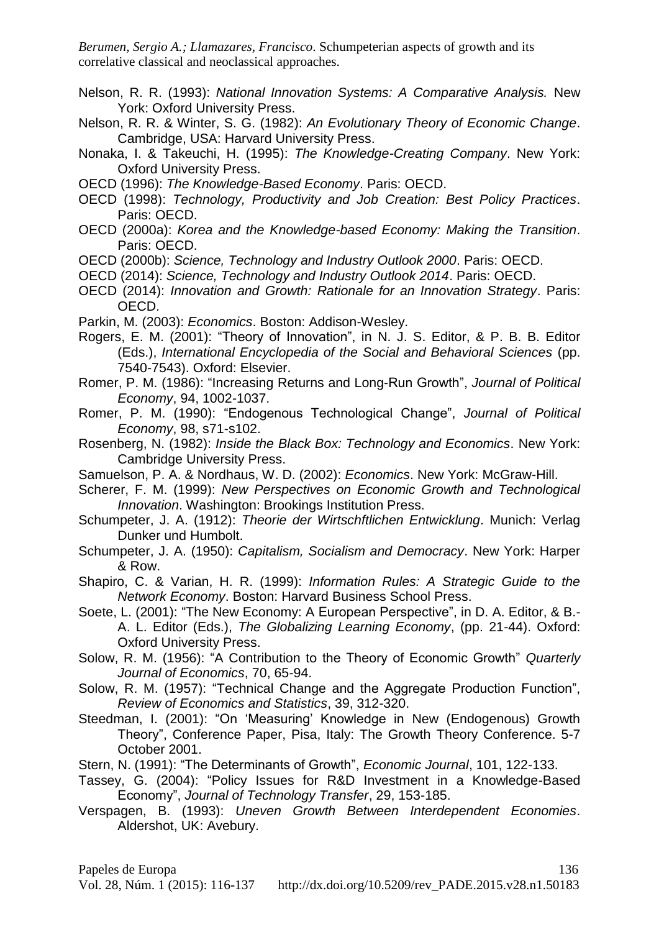Nelson, R. R. (1993): *National Innovation Systems: A Comparative Analysis.* New York: Oxford University Press.

Nelson, R. R. & Winter, S. G. (1982): *An Evolutionary Theory of Economic Change*. Cambridge, USA: Harvard University Press.

- Nonaka, I. & Takeuchi, H. (1995): *The Knowledge-Creating Company*. New York: Oxford University Press.
- OECD (1996): *The Knowledge-Based Economy*. Paris: OECD.
- OECD (1998): *Technology, Productivity and Job Creation: Best Policy Practices*. Paris: OECD.
- OECD (2000a): *Korea and the Knowledge-based Economy: Making the Transition*. Paris: OECD.
- OECD (2000b): *Science, Technology and Industry Outlook 2000*. Paris: OECD.
- OECD (2014): *Science, Technology and Industry Outlook 2014*. Paris: OECD.
- OECD (2014): *Innovation and Growth: Rationale for an Innovation Strategy*. Paris: OECD.
- Parkin, M. (2003): *Economics*. Boston: Addison-Wesley.
- Rogers, E. M. (2001): "Theory of Innovation", in N. J. S. Editor, & P. B. B. Editor (Eds.), *International Encyclopedia of the Social and Behavioral Sciences* (pp. 7540-7543). Oxford: Elsevier.
- Romer, P. M. (1986): "Increasing Returns and Long-Run Growth", *Journal of Political Economy*, 94, 1002-1037.
- Romer, P. M. (1990): "Endogenous Technological Change", *Journal of Political Economy*, 98, s71-s102.
- Rosenberg, N. (1982): *Inside the Black Box: Technology and Economics*. New York: Cambridge University Press.
- Samuelson, P. A. & Nordhaus, W. D. (2002): *Economics*. New York: McGraw-Hill.
- Scherer, F. M. (1999): *New Perspectives on Economic Growth and Technological Innovation*. Washington: Brookings Institution Press.
- Schumpeter, J. A. (1912): *Theorie der Wirtschftlichen Entwicklung*. Munich: Verlag Dunker und Humbolt.
- Schumpeter, J. A. (1950): *Capitalism, Socialism and Democracy*. New York: Harper & Row.
- Shapiro, C. & Varian, H. R. (1999): *Information Rules: A Strategic Guide to the Network Economy*. Boston: Harvard Business School Press.
- Soete, L. (2001): "The New Economy: A European Perspective", in D. A. Editor, & B.- A. L. Editor (Eds.), *The Globalizing Learning Economy*, (pp. 21-44). Oxford: Oxford University Press.

Solow, R. M. (1956): "A Contribution to the Theory of Economic Growth" *Quarterly Journal of Economics*, 70, 65-94.

Solow, R. M. (1957): "Technical Change and the Aggregate Production Function", *Review of Economics and Statistics*, 39, 312-320.

- Steedman, I. (2001): "On 'Measuring' Knowledge in New (Endogenous) Growth Theory", Conference Paper, Pisa, Italy: The Growth Theory Conference. 5-7 October 2001.
- Stern, N. (1991): "The Determinants of Growth", *Economic Journal*, 101, 122-133.
- Tassey, G. (2004): "Policy Issues for R&D Investment in a Knowledge-Based Economy", *Journal of Technology Transfer*, 29, 153-185.
- Verspagen, B. (1993): *Uneven Growth Between Interdependent Economies*. Aldershot, UK: Avebury.